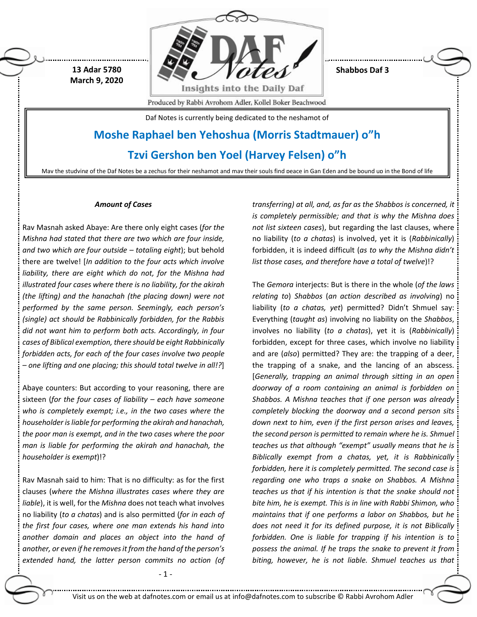

**Shabbos Daf 3**

Produced by Rabbi Avrohom Adler, Kollel Boker Beachwood

Daf Notes is currently being dedicated to the neshamot of

# **Moshe Raphael ben Yehoshua (Morris Stadtmauer) o"h**

# **Tzvi Gershon ben Yoel (Harvey Felsen) o"h**

May the studying of the Daf Notes be a zechus for their neshamot and may their souls find peace in Gan Eden and be bound up in the Bond of life

# *Amount of Cases*

 **13 Adar 5780 March 9, 2020**

Rav Masnah asked Abaye: Are there only eight cases (*for the Mishna had stated that there are two which are four inside, and two which are four outside – totaling eight*); but behold there are twelve! [*In addition to the four acts which involve liability, there are eight which do not, for the Mishna had illustrated four cases where there is no liability, for the akirah (the lifting) and the hanachah (the placing down) were not performed by the same person. Seemingly, each person's (single) act should be Rabbinically forbidden, for the Rabbis did not want him to perform both acts. Accordingly, in four cases of Biblical exemption, there should be eight Rabbinically forbidden acts, for each of the four cases involve two people – one lifting and one placing; this should total twelve in all!?*]

Abaye counters: But according to your reasoning, there are sixteen (*for the four cases of liability – each have someone who is completely exempt; i.e., in the two cases where the householder is liable for performing the akirah and hanachah, the poor man is exempt, and in the two cases where the poor man is liable for performing the akirah and hanachah, the householder is exempt*)!?

Rav Masnah said to him: That is no difficulty: as for the first clauses (*where the Mishna illustrates cases where they are liable*), it is well, for the *Mishna* does not teach what involves no liability (*to a chatas*) and is also permitted (*for in each of the first four cases, where one man extends his hand into another domain and places an object into the hand of another, or even if he removes it from the hand of the person's extended hand, the latter person commits no action (of* 

- 1 -

*transferring) at all, and, as far as the Shabbos is concerned, it is completely permissible; and that is why the Mishna does not list sixteen cases*), but regarding the last clauses, where no liability (*to a chatas*) is involved, yet it is (*Rabbinically*) forbidden, it is indeed difficult (*as to why the Mishna didn't list those cases, and therefore have a total of twelve*)!?

The *Gemora* interjects: But is there in the whole (*of the laws relating to*) *Shabbos* (*an action described as involving*) no liability (*to a chatas, yet*) permitted? Didn't Shmuel say: Everything (*taught as*) involving no liability on the *Shabbos*, involves no liability (*to a chatas*), yet it is (*Rabbinically*) forbidden, except for three cases, which involve no liability and are (*also*) permitted? They are: the trapping of a deer, the trapping of a snake, and the lancing of an abscess. [*Generally, trapping an animal through sitting in an open doorway of a room containing an animal is forbidden on Shabbos. A Mishna teaches that if one person was already completely blocking the doorway and a second person sits down next to him, even if the first person arises and leaves, the second person is permitted to remain where he is. Shmuel teaches us that although "exempt" usually means that he is Biblically exempt from a chatas, yet, it is Rabbinically forbidden, here it is completely permitted. The second case is regarding one who traps a snake on Shabbos. A Mishna teaches us that if his intention is that the snake should not bite him, he is exempt. This is in line with Rabbi Shimon, who maintains that if one performs a labor on Shabbos, but he does not need it for its defined purpose, it is not Biblically forbidden. One is liable for trapping if his intention is to possess the animal. If he traps the snake to prevent it from biting, however, he is not liable. Shmuel teaches us that* 

Visit us on the web at dafnotes.com or email us a[t info@dafnotes.com](mailto:info@dafnotes.com) to subscribe © Rabbi Avrohom Adler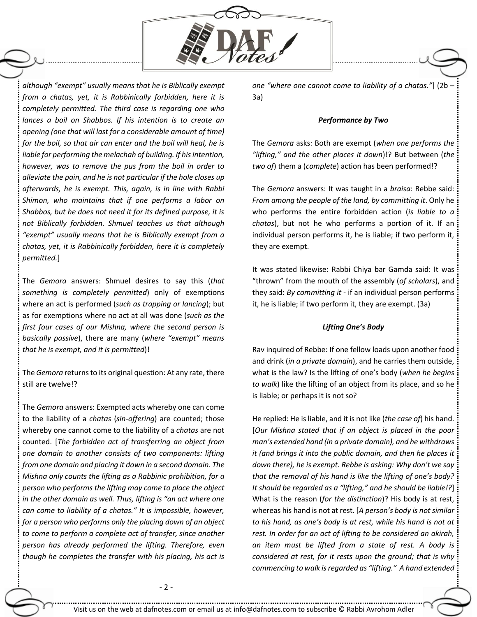

*although "exempt" usually means that he is Biblically exempt from a chatas, yet, it is Rabbinically forbidden, here it is completely permitted. The third case is regarding one who lances a boil on Shabbos. If his intention is to create an opening (one that will last for a considerable amount of time) for the boil, so that air can enter and the boil will heal, he is liable for performing themelachah of building. If his intention, however, was to remove the pus from the boil in order to alleviate the pain, and he is not particular if the hole closes up afterwards, he is exempt. This, again, is in line with Rabbi Shimon, who maintains that if one performs a labor on Shabbos, but he does not need it for its defined purpose, it is not Biblically forbidden. Shmuel teaches us that although "exempt" usually means that he is Biblically exempt from a chatas, yet, it is Rabbinically forbidden, here it is completely permitted.*]

The *Gemora* answers: Shmuel desires to say this (*that something is completely permitted*) only of exemptions where an act is performed (*such as trapping or lancing*); but as for exemptions where no act at all was done (*such as the first four cases of our Mishna, where the second person is basically passive*), there are many (*where "exempt" means that he is exempt, and it is permitted*)!

The *Gemora* returns to its original question: At any rate, there still are twelve!?

The *Gemora* answers: Exempted acts whereby one can come to the liability of a *chatas* (*sin-offering*) are counted; those whereby one cannot come to the liability of a *chatas* are not counted. [*The forbidden act of transferring an object from one domain to another consists of two components: lifting from one domain and placing it down in a second domain. The Mishna only counts the lifting as a Rabbinic prohibition, for a person who performs the lifting may come to place the object in the other domain as well. Thus, lifting is "an act where one can come to liability of a chatas." It is impossible, however, for a person who performs only the placing down of an object to come to perform a complete act of transfer, since another person has already performed the lifting. Therefore, even though he completes the transfer with his placing, his act is* 

*one "where one cannot come to liability of a chatas."*] (2b – 3a)

# *Performance by Two*

The *Gemora* asks: Both are exempt (*when one performs the "lifting," and the other places it down*)!? But between (*the two of*) them a (*complete*) action has been performed!?

The *Gemora* answers: It was taught in a *braisa*: Rebbe said: *From among the people of the land, by committing it*. Only he who performs the entire forbidden action (*is liable to a chatas*), but not he who performs a portion of it. If an individual person performs it, he is liable; if two perform it, they are exempt.

It was stated likewise: Rabbi Chiya bar Gamda said: It was "thrown" from the mouth of the assembly (*of scholars*), and they said: *By committing it* - if an individual person performs it, he is liable; if two perform it, they are exempt. (3a)

# *Lifting One's Body*

Rav inquired of Rebbe: If one fellow loads upon another food and drink (*in a private domain*), and he carries them outside, what is the law? Is the lifting of one's body (*when he begins to walk*) like the lifting of an object from its place, and so he is liable; or perhaps it is not so?

He replied: He is liable, and it is not like (*the case of*) his hand. [*Our Mishna stated that if an object is placed in the poor man's extended hand (in a private domain), and he withdraws it (and brings it into the public domain, and then he places it down there), he is exempt. Rebbe is asking: Why don't we say that the removal of his hand is like the lifting of one's body? It should be regarded as a "lifting," and he should be liable!?*] What is the reason (*for the distinction*)? His body is at rest, whereas his hand is not at rest. [*A person's body is not similar to his hand, as one's body is at rest, while his hand is not at rest. In order for an act of lifting to be considered an akirah, an item must be lifted from a state of rest. A body is considered at rest, for it rests upon the ground; that is why commencing to walk is regarded as "lifting." A hand extended*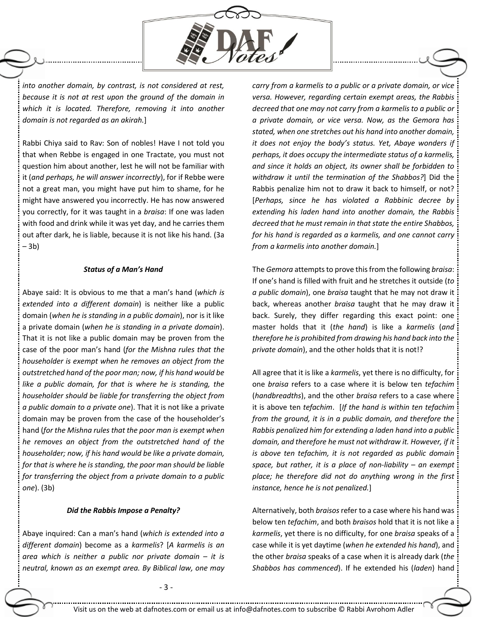

*into another domain, by contrast, is not considered at rest, because it is not at rest upon the ground of the domain in which it is located. Therefore, removing it into another domain is not regarded as an akirah.*]

Rabbi Chiya said to Rav: Son of nobles! Have I not told you that when Rebbe is engaged in one Tractate, you must not question him about another, lest he will not be familiar with it (*and perhaps, he will answer incorrectly*), for if Rebbe were not a great man, you might have put him to shame, for he might have answered you incorrectly. He has now answered you correctly, for it was taught in a *braisa*: If one was laden with food and drink while it was yet day, and he carries them out after dark, he is liable, because it is not like his hand. (3a – 3b)

### *Status of a Man's Hand*

Abaye said: It is obvious to me that a man's hand (*which is extended into a different domain*) is neither like a public domain (*when he is standing in a public domain*), nor is it like a private domain (*when he is standing in a private domain*). That it is not like a public domain may be proven from the case of the poor man's hand (*for the Mishna rules that the householder is exempt when he removes an object from the outstretched hand of the poor man; now, if his hand would be like a public domain, for that is where he is standing, the householder should be liable for transferring the object from a public domain to a private one*). That it is not like a private domain may be proven from the case of the householder's hand (*for the Mishna rules that the poor man is exempt when he removes an object from the outstretched hand of the householder; now, if his hand would be like a private domain, for that is where he is standing, the poor man should be liable for transferring the object from a private domain to a public one*). (3b)

#### *Did the Rabbis Impose a Penalty?*

Abaye inquired: Can a man's hand (*which is extended into a different domain*) become as a *karmelis*? [*A karmelis is an area which is neither a public nor private domain – it is neutral, known as an exempt area. By Biblical law, one may* 

*carry from a karmelis to a public or a private domain, or vice versa. However, regarding certain exempt areas, the Rabbis decreed that one may not carry from a karmelis to a public or a private domain, or vice versa. Now, as the Gemora has stated, when one stretches out his hand into another domain, it does not enjoy the body's status. Yet, Abaye wonders if perhaps, it does occupy the intermediate status of a karmelis, and since it holds an object, its owner shall be forbidden to withdraw it until the termination of the Shabbos?*] Did the Rabbis penalize him not to draw it back to himself, or not? [*Perhaps, since he has violated a Rabbinic decree by extending his laden hand into another domain, the Rabbis decreed that he must remain in that state the entire Shabbos, for his hand is regarded as a karmelis, and one cannot carry from a karmelis into another domain.*]

The *Gemora* attempts to prove this from the following *braisa*: If one's hand is filled with fruit and he stretches it outside (*to a public domain*), one *braisa* taught that he may not draw it back, whereas another *braisa* taught that he may draw it back. Surely, they differ regarding this exact point: one master holds that it (*the hand*) is like a *karmelis* (*and therefore he is prohibited from drawing his hand back into the private domain*), and the other holds that it is not!?

All agree that it is like a *karmelis*, yet there is no difficulty, for one *braisa* refers to a case where it is below ten *tefachim* (*handbreadths*), and the other *braisa* refers to a case where it is above ten *tefachim*. [*If the hand is within ten tefachim from the ground, it is in a public domain, and therefore the Rabbis penalized him for extending a laden hand into a public domain, and therefore he must not withdraw it. However, if it is above ten tefachim, it is not regarded as public domain space, but rather, it is a place of non-liability – an exempt place; he therefore did not do anything wrong in the first instance, hence he is not penalized.*]

Alternatively, both *braisos*refer to a case where his hand was below ten *tefachim*, and both *braisos* hold that it is not like a *karmelis*, yet there is no difficulty, for one *braisa* speaks of a case while it is yet daytime (*when he extended his hand*), and the other *braisa* speaks of a case when it is already dark (*the Shabbos has commenced*). If he extended his (*laden*) hand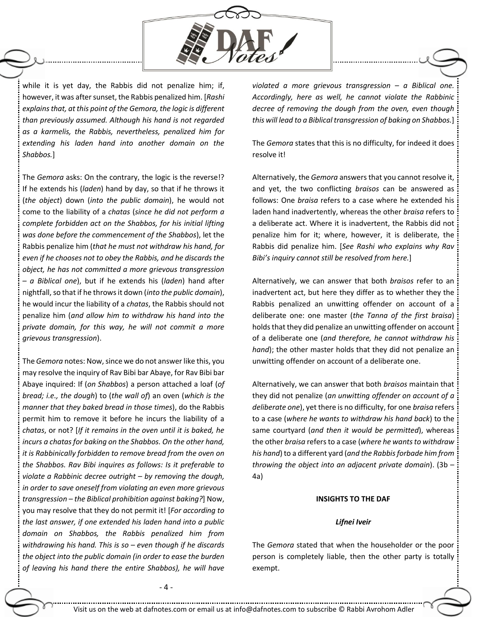

while it is yet day, the Rabbis did not penalize him; if, however, it was after sunset, the Rabbis penalized him. [*Rashi explains that, at this point of the Gemora, the logic is different than previously assumed. Although his hand is not regarded as a karmelis, the Rabbis, nevertheless, penalized him for extending his laden hand into another domain on the Shabbos.*]

The *Gemora* asks: On the contrary, the logic is the reverse!? If he extends his (*laden*) hand by day, so that if he throws it (*the object*) down (*into the public domain*), he would not come to the liability of a *chatas* (*since he did not perform a complete forbidden act on the Shabbos, for his initial lifting was done before the commencement of the Shabbos*), let the Rabbis penalize him (*that he must not withdraw his hand, for even if he chooses not to obey the Rabbis, and he discards the object, he has not committed a more grievous transgression – a Biblical one*), but if he extends his (*laden*) hand after nightfall, so that if he throws it down (*into the public domain*), he would incur the liability of a *chatas*, the Rabbis should not penalize him (*and allow him to withdraw his hand into the private domain, for this way, he will not commit a more grievous transgression*).

The *Gemora* notes: Now, since we do not answer like this, you may resolve the inquiry of Rav Bibi bar Abaye, for Rav Bibi bar Abaye inquired: If (*on Shabbos*) a person attached a loaf (*of bread; i.e., the dough*) to (*the wall of*) an oven (*which is the manner that they baked bread in those times*), do the Rabbis permit him to remove it before he incurs the liability of a *chatas*, or not? [*If it remains in the oven until it is baked, he incurs a chatas for baking on the Shabbos. On the other hand, it is Rabbinically forbidden to remove bread from the oven on the Shabbos. Rav Bibi inquires as follows: Is it preferable to violate a Rabbinic decree outright – by removing the dough, in order to save oneself from violating an even more grievous transgression – the Biblical prohibition against baking?*] Now, you may resolve that they do not permit it! [*For according to the last answer, if one extended his laden hand into a public domain on Shabbos, the Rabbis penalized him from withdrawing his hand. This is so – even though if he discards the object into the public domain (in order to ease the burden of leaving his hand there the entire Shabbos), he will have* 

*violated a more grievous transgression – a Biblical one. Accordingly, here as well, he cannot violate the Rabbinic decree of removing the dough from the oven, even though this will lead to a Biblical transgression of baking on Shabbos.*]

The *Gemora* states that this is no difficulty, for indeed it does resolve it!

Alternatively, the *Gemora* answers that you cannot resolve it, and yet, the two conflicting *braisos* can be answered as follows: One *braisa* refers to a case where he extended his laden hand inadvertently, whereas the other *braisa* refers to a deliberate act. Where it is inadvertent, the Rabbis did not penalize him for it; where, however, it is deliberate, the Rabbis did penalize him. [*See Rashi who explains why Rav Bibi's inquiry cannot still be resolved from here.*]

Alternatively, we can answer that both *braisos* refer to an inadvertent act, but here they differ as to whether they the Rabbis penalized an unwitting offender on account of a deliberate one: one master (*the Tanna of the first braisa*) holds that they did penalize an unwitting offender on account of a deliberate one (*and therefore, he cannot withdraw his hand*); the other master holds that they did not penalize an unwitting offender on account of a deliberate one.

Alternatively, we can answer that both *braisos* maintain that they did not penalize (*an unwitting offender on account of a deliberate one*), yet there is no difficulty, for one *braisa* refers to a case (*where he wants to withdraw his hand back*) to the same courtyard (*and then it would be permitted*), whereas the other *braisa* refers to a case (*where he wants to withdraw his hand*) to a different yard (*and the Rabbis forbade him from throwing the object into an adjacent private domain*). (3b – 4a)

# **INSIGHTS TO THE DAF**

#### *Lifnei Iveir*

The *Gemora* stated that when the householder or the poor person is completely liable, then the other party is totally exempt.

- 4 -